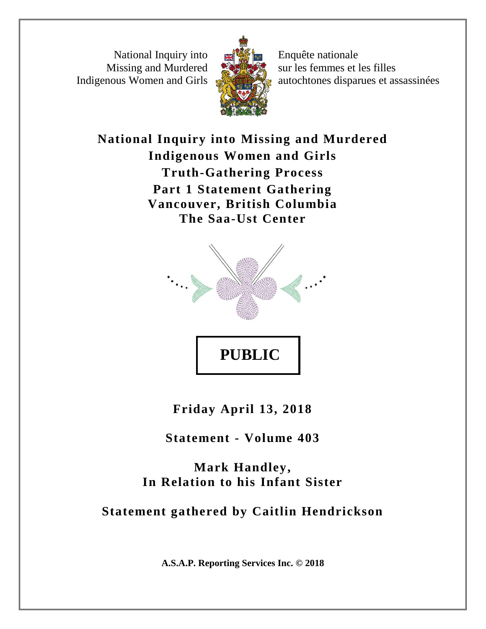National Inquiry into Missing and Murdered Indigenous Women and Girls



Enquête nationale sur les femmes et les filles autochtones disparues et assassinées

**National Inquiry into Missing and Murdered Indigenous Women and Girls Truth-Gathering Process Part 1 Statement Gathering Vancouver, British Columbia The Saa-Ust Center**



**Friday April 13, 2018**

**Statement - Volume 403**

**Mark Handley, In Relation to his Infant Sister**

# **Statement gathered by Caitlin Hendrickson**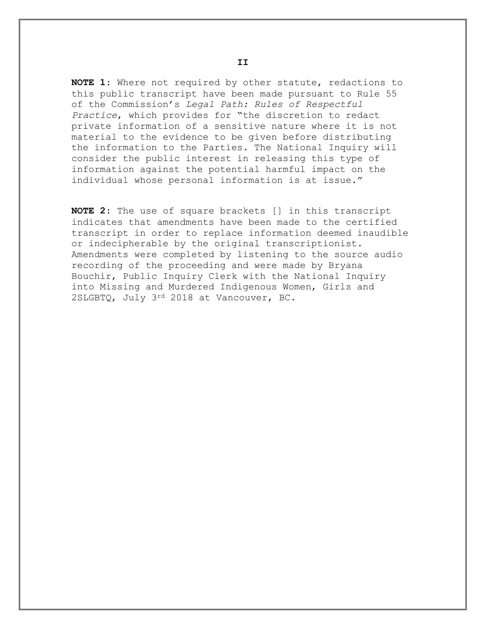**NOTE 1**: Where not required by other statute, redactions to this public transcript have been made pursuant to Rule 55 of the Commission's *Legal Path: Rules of Respectful Practice*, which provides for "the discretion to redact private information of a sensitive nature where it is not material to the evidence to be given before distributing the information to the Parties. The National Inquiry will consider the public interest in releasing this type of information against the potential harmful impact on the individual whose personal information is at issue."

**NOTE 2**: The use of square brackets [] in this transcript indicates that amendments have been made to the certified transcript in order to replace information deemed inaudible or indecipherable by the original transcriptionist. Amendments were completed by listening to the source audio recording of the proceeding and were made by Bryana Bouchir, Public Inquiry Clerk with the National Inquiry into Missing and Murdered Indigenous Women, Girls and 2SLGBTQ, July 3rd 2018 at Vancouver, BC.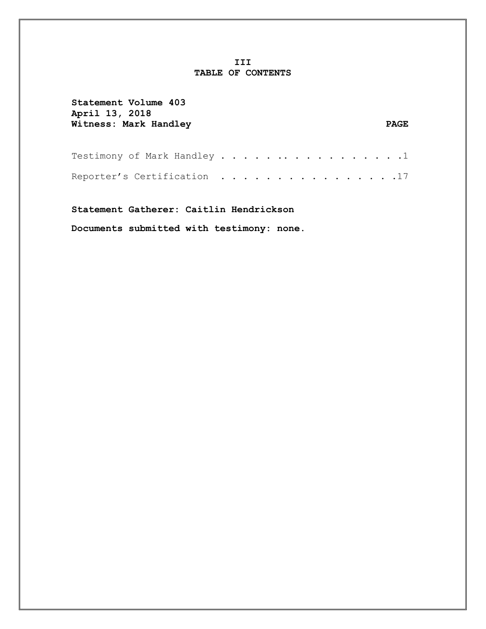#### **III TABLE OF CONTENTS**

| Statement Volume 403<br>April 13, 2018<br>Witness: Mark Handley |  |  |  |  |  |  | <b>PAGE</b> |  |
|-----------------------------------------------------------------|--|--|--|--|--|--|-------------|--|
| Testimony of Mark Handley 1                                     |  |  |  |  |  |  |             |  |
| Reporter's Certification 17                                     |  |  |  |  |  |  |             |  |
|                                                                 |  |  |  |  |  |  |             |  |

**Statement Gatherer: Caitlin Hendrickson**

**Documents submitted with testimony: none.**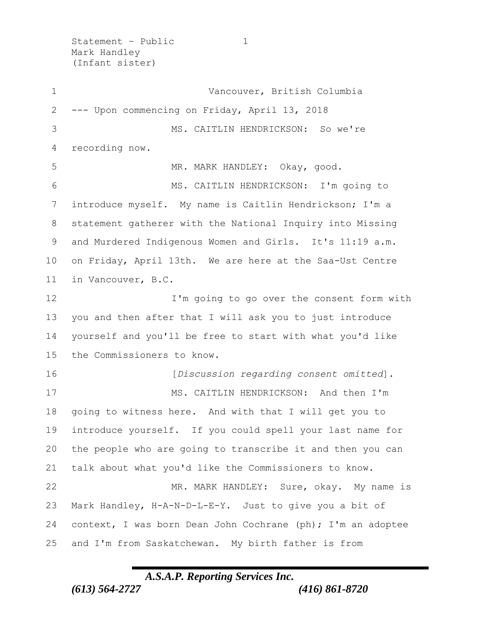Statement - Public 1 Mark Handley (Infant sister)

1 Vancouver, British Columbia --- Upon commencing on Friday, April 13, 2018 MS. CAITLIN HENDRICKSON: So we're recording now. 5 MR. MARK HANDLEY: Okay, good. MS. CAITLIN HENDRICKSON: I'm going to introduce myself. My name is Caitlin Hendrickson; I'm a statement gatherer with the National Inquiry into Missing 9 and Murdered Indigenous Women and Girls. It's 11:19 a.m. on Friday, April 13th. We are here at the Saa-Ust Centre in Vancouver, B.C. I'm going to go over the consent form with you and then after that I will ask you to just introduce yourself and you'll be free to start with what you'd like the Commissioners to know. [*Discussion regarding consent omitted*]. MS. CAITLIN HENDRICKSON: And then I'm going to witness here. And with that I will get you to introduce yourself. If you could spell your last name for the people who are going to transcribe it and then you can talk about what you'd like the Commissioners to know. 22 MR. MARK HANDLEY: Sure, okay. My name is Mark Handley, H-A-N-D-L-E-Y. Just to give you a bit of 24 context, I was born Dean John Cochrane (ph); I'm an adoptee and I'm from Saskatchewan. My birth father is from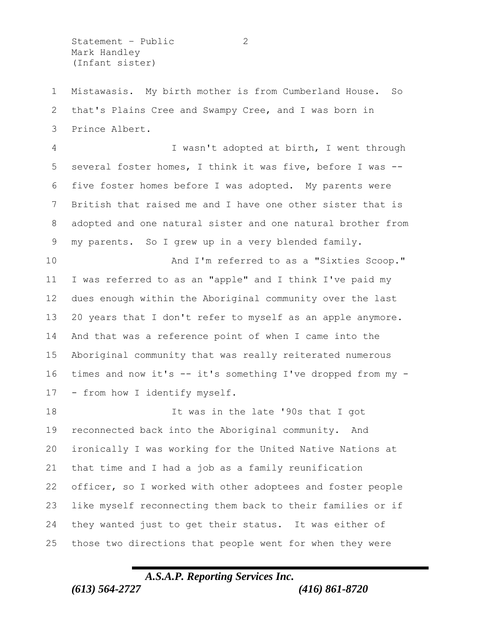Statement - Public 2 Mark Handley (Infant sister)

 Mistawasis. My birth mother is from Cumberland House. So that's Plains Cree and Swampy Cree, and I was born in Prince Albert.

 I wasn't adopted at birth, I went through several foster homes, I think it was five, before I was -- five foster homes before I was adopted. My parents were British that raised me and I have one other sister that is adopted and one natural sister and one natural brother from my parents. So I grew up in a very blended family.

 And I'm referred to as a "Sixties Scoop." I was referred to as an "apple" and I think I've paid my dues enough within the Aboriginal community over the last 20 years that I don't refer to myself as an apple anymore. And that was a reference point of when I came into the Aboriginal community that was really reiterated numerous times and now it's -- it's something I've dropped from my - - from how I identify myself.

**It was in the late '90s that I got**  reconnected back into the Aboriginal community. And ironically I was working for the United Native Nations at that time and I had a job as a family reunification officer, so I worked with other adoptees and foster people like myself reconnecting them back to their families or if they wanted just to get their status. It was either of those two directions that people went for when they were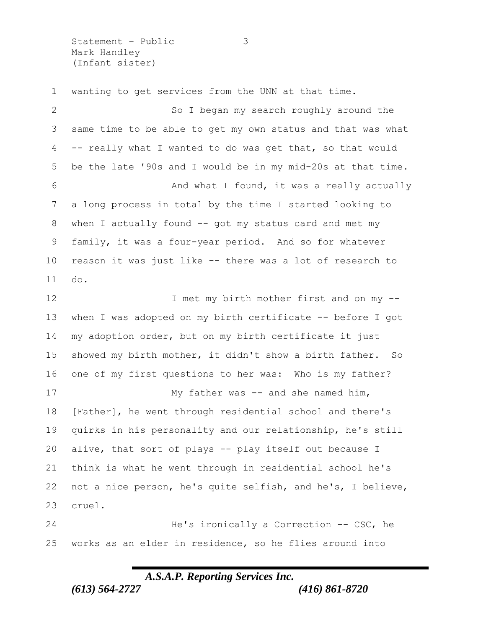Statement – Public 3 Mark Handley (Infant sister)

 wanting to get services from the UNN at that time. So I began my search roughly around the same time to be able to get my own status and that was what -- really what I wanted to do was get that, so that would be the late '90s and I would be in my mid-20s at that time. 6 And what I found, it was a really actually a long process in total by the time I started looking to when I actually found -- got my status card and met my family, it was a four-year period. And so for whatever reason it was just like -- there was a lot of research to do. 12 I met my birth mother first and on my -- when I was adopted on my birth certificate -- before I got my adoption order, but on my birth certificate it just showed my birth mother, it didn't show a birth father. So one of my first questions to her was: Who is my father? 17 My father was -- and she named him, [Father], he went through residential school and there's quirks in his personality and our relationship, he's still alive, that sort of plays -- play itself out because I think is what he went through in residential school he's not a nice person, he's quite selfish, and he's, I believe, cruel. He's ironically a Correction -- CSC, he

works as an elder in residence, so he flies around into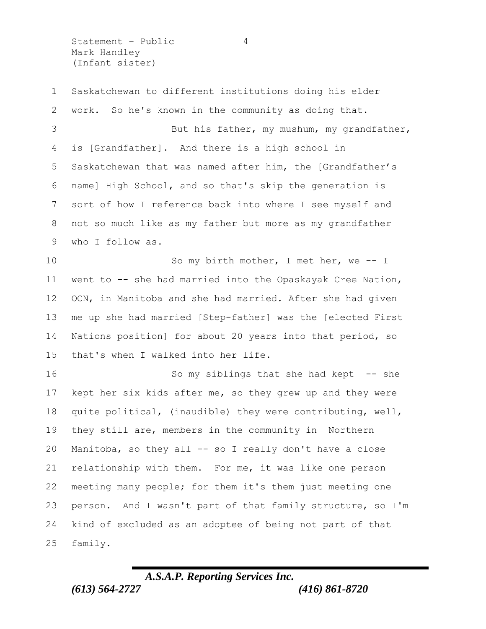Statement - Public 4 Mark Handley (Infant sister)

 Saskatchewan to different institutions doing his elder work. So he's known in the community as doing that. 3 But his father, my mushum, my qrandfather, is [Grandfather]. And there is a high school in Saskatchewan that was named after him, the [Grandfather's name] High School, and so that's skip the generation is sort of how I reference back into where I see myself and not so much like as my father but more as my grandfather who I follow as. So my birth mother, I met her, we -- I 11 went to -- she had married into the Opaskayak Cree Nation, OCN, in Manitoba and she had married. After she had given me up she had married [Step-father] was the [elected First Nations position] for about 20 years into that period, so that's when I walked into her life. 16 So my siblings that she had kept -- she kept her six kids after me, so they grew up and they were quite political, (inaudible) they were contributing, well, they still are, members in the community in Northern 20 Manitoba, so they all -- so I really don't have a close relationship with them. For me, it was like one person meeting many people; for them it's them just meeting one person. And I wasn't part of that family structure, so I'm kind of excluded as an adoptee of being not part of that family.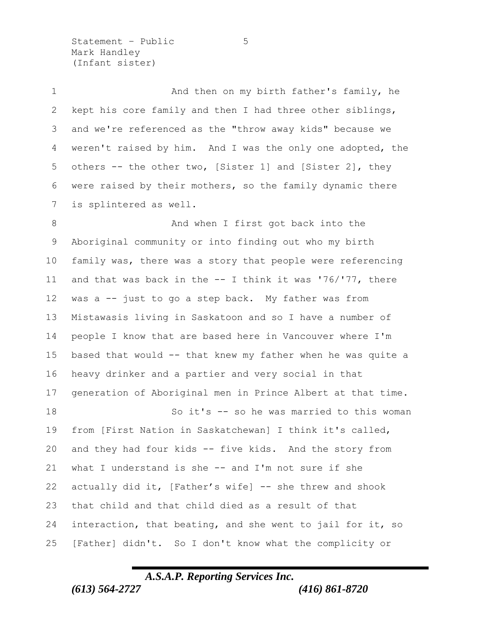Statement – Public 5 Mark Handley (Infant sister)

1 And then on my birth father's family, he kept his core family and then I had three other siblings, and we're referenced as the "throw away kids" because we weren't raised by him. And I was the only one adopted, the others -- the other two, [Sister 1] and [Sister 2], they were raised by their mothers, so the family dynamic there is splintered as well. 8 And when I first got back into the Aboriginal community or into finding out who my birth family was, there was a story that people were referencing and that was back in the -- I think it was '76/'77, there was a -- just to go a step back. My father was from Mistawasis living in Saskatoon and so I have a number of people I know that are based here in Vancouver where I'm based that would -- that knew my father when he was quite a heavy drinker and a partier and very social in that generation of Aboriginal men in Prince Albert at that time. So it's -- so he was married to this woman from [First Nation in Saskatchewan] I think it's called, and they had four kids -- five kids. And the story from 21 what I understand is she -- and I'm not sure if she actually did it, [Father's wife] -- she threw and shook that child and that child died as a result of that interaction, that beating, and she went to jail for it, so [Father] didn't. So I don't know what the complicity or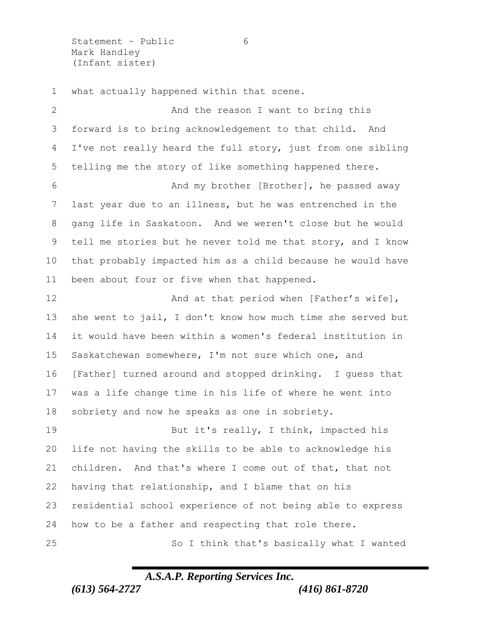Statement - Public 6 Mark Handley (Infant sister)

what actually happened within that scene.

2 And the reason I want to bring this forward is to bring acknowledgement to that child. And I've not really heard the full story, just from one sibling telling me the story of like something happened there. And my brother [Brother], he passed away last year due to an illness, but he was entrenched in the gang life in Saskatoon. And we weren't close but he would tell me stories but he never told me that story, and I know that probably impacted him as a child because he would have been about four or five when that happened. **And at that period when [Father's wife]**, she went to jail, I don't know how much time she served but it would have been within a women's federal institution in Saskatchewan somewhere, I'm not sure which one, and [Father] turned around and stopped drinking. I guess that was a life change time in his life of where he went into sobriety and now he speaks as one in sobriety. 19 But it's really, I think, impacted his life not having the skills to be able to acknowledge his children. And that's where I come out of that, that not having that relationship, and I blame that on his residential school experience of not being able to express how to be a father and respecting that role there. So I think that's basically what I wanted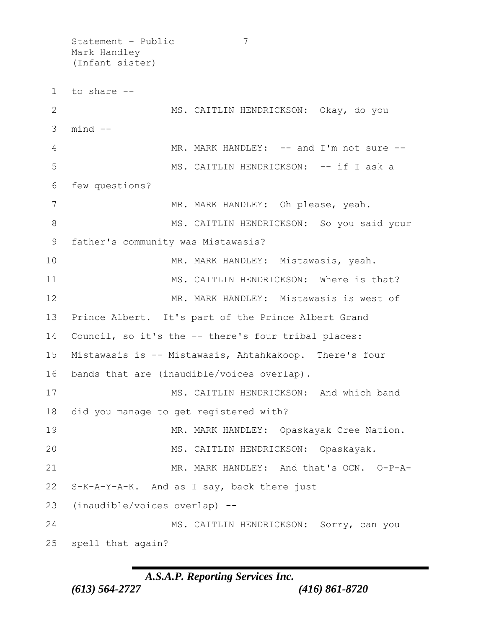Statement – Public 7 Mark Handley (Infant sister) 1 to share -- 2 MS. CAITLIN HENDRICKSON: Okay, do you  $3$  mind  $-$ 4 MR. MARK HANDLEY: -- and I'm not sure --5 MS. CAITLIN HENDRICKSON: -- if I ask a 6 few questions? 7 MR. MARK HANDLEY: Oh please, yeah. 8 MS. CAITLIN HENDRICKSON: So you said your 9 father's community was Mistawasis? 10 MR. MARK HANDLEY: Mistawasis, yeah. 11 MS. CAITLIN HENDRICKSON: Where is that? 12 MR. MARK HANDLEY: Mistawasis is west of 13 Prince Albert. It's part of the Prince Albert Grand 14 Council, so it's the -- there's four tribal places: 15 Mistawasis is -- Mistawasis, Ahtahkakoop. There's four 16 bands that are (inaudible/voices overlap). 17 MS. CAITLIN HENDRICKSON: And which band 18 did you manage to get registered with? 19 MR. MARK HANDLEY: Opaskayak Cree Nation. 20 MS. CAITLIN HENDRICKSON: Opaskayak. 21 MR. MARK HANDLEY: And that's OCN. O-P-A-22 S-K-A-Y-A-K. And as I say, back there just 23 (inaudible/voices overlap) -- 24 MS. CAITLIN HENDRICKSON: Sorry, can you 25 spell that again?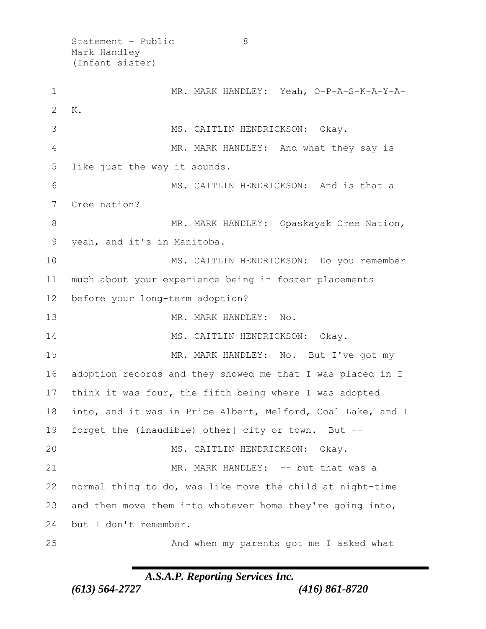Statement - Public 8 Mark Handley (Infant sister)

1 MR. MARK HANDLEY: Yeah, O-P-A-S-K-A-Y-A-2 K. MS. CAITLIN HENDRICKSON: Okay. MR. MARK HANDLEY: And what they say is like just the way it sounds. MS. CAITLIN HENDRICKSON: And is that a Cree nation? 8 MR. MARK HANDLEY: Opaskayak Cree Nation, yeah, and it's in Manitoba. MS. CAITLIN HENDRICKSON: Do you remember much about your experience being in foster placements before your long-term adoption? 13 MR. MARK HANDLEY: No. 14 MS. CAITLIN HENDRICKSON: Okay. 15 MR. MARK HANDLEY: No. But I've got my adoption records and they showed me that I was placed in I think it was four, the fifth being where I was adopted into, and it was in Price Albert, Melford, Coal Lake, and I 19 forget the (inaudible) [other] city or town. But -- MS. CAITLIN HENDRICKSON: Okay. 21 MR. MARK HANDLEY: -- but that was a normal thing to do, was like move the child at night-time and then move them into whatever home they're going into, but I don't remember. And when my parents got me I asked what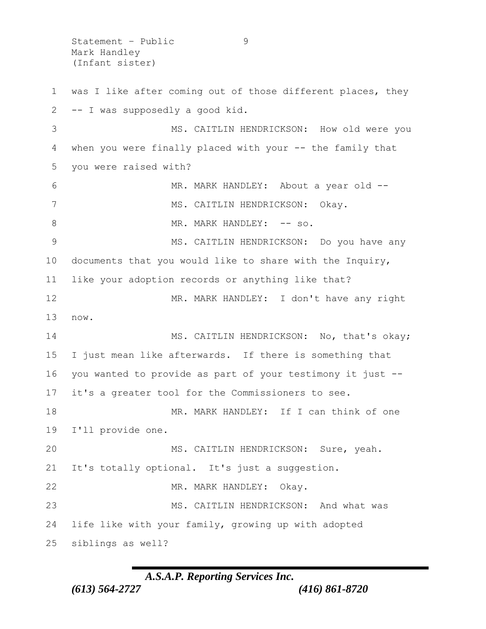Statement - Public 9 Mark Handley (Infant sister)

1 was I like after coming out of those different places, they -- I was supposedly a good kid. MS. CAITLIN HENDRICKSON: How old were you when you were finally placed with your -- the family that you were raised with? MR. MARK HANDLEY: About a year old -- 7 MS. CAITLIN HENDRICKSON: Okay. 8 MR. MARK HANDLEY:  $--$  so. 9 MS. CAITLIN HENDRICKSON: Do you have any documents that you would like to share with the Inquiry, like your adoption records or anything like that? MR. MARK HANDLEY: I don't have any right 13 now. 14 MS. CAITLIN HENDRICKSON: No, that's okay; I just mean like afterwards. If there is something that you wanted to provide as part of your testimony it just -- it's a greater tool for the Commissioners to see. MR. MARK HANDLEY: If I can think of one I'll provide one. MS. CAITLIN HENDRICKSON: Sure, yeah. 21 It's totally optional. It's just a suggestion. 22 MR. MARK HANDLEY: Okay. MS. CAITLIN HENDRICKSON: And what was life like with your family, growing up with adopted siblings as well?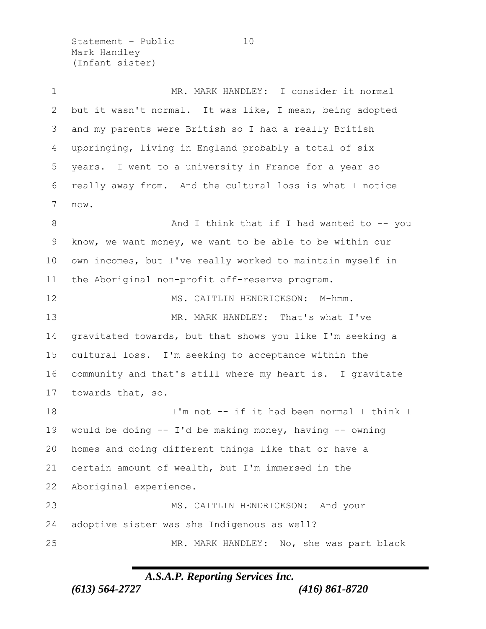Statement – Public 10 Mark Handley (Infant sister)

 MR. MARK HANDLEY: I consider it normal but it wasn't normal. It was like, I mean, being adopted and my parents were British so I had a really British upbringing, living in England probably a total of six years. I went to a university in France for a year so really away from. And the cultural loss is what I notice now. 8 And I think that if I had wanted to -- you know, we want money, we want to be able to be within our own incomes, but I've really worked to maintain myself in the Aboriginal non-profit off-reserve program. 12 MS. CAITLIN HENDRICKSON: M-hmm. MR. MARK HANDLEY: That's what I've gravitated towards, but that shows you like I'm seeking a cultural loss. I'm seeking to acceptance within the community and that's still where my heart is. I gravitate towards that, so. I'm not -- if it had been normal I think I would be doing -- I'd be making money, having -- owning homes and doing different things like that or have a certain amount of wealth, but I'm immersed in the Aboriginal experience. MS. CAITLIN HENDRICKSON: And your adoptive sister was she Indigenous as well? MR. MARK HANDLEY: No, she was part black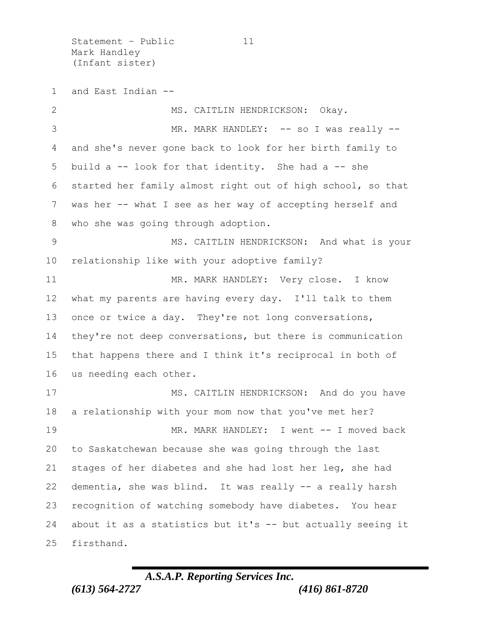Statement - Public 11 Mark Handley (Infant sister)

and East Indian --

2 MS. CAITLIN HENDRICKSON: Okay. MR. MARK HANDLEY: -- so I was really -- and she's never gone back to look for her birth family to build a -- look for that identity. She had a -- she started her family almost right out of high school, so that was her -- what I see as her way of accepting herself and who she was going through adoption. 9 MS. CAITLIN HENDRICKSON: And what is your relationship like with your adoptive family? 11 MR. MARK HANDLEY: Very close. I know what my parents are having every day. I'll talk to them 13 once or twice a day. They're not long conversations, they're not deep conversations, but there is communication that happens there and I think it's reciprocal in both of us needing each other. 17 MS. CAITLIN HENDRICKSON: And do you have a relationship with your mom now that you've met her? MR. MARK HANDLEY: I went -- I moved back to Saskatchewan because she was going through the last stages of her diabetes and she had lost her leg, she had dementia, she was blind. It was really -- a really harsh recognition of watching somebody have diabetes. You hear about it as a statistics but it's -- but actually seeing it firsthand.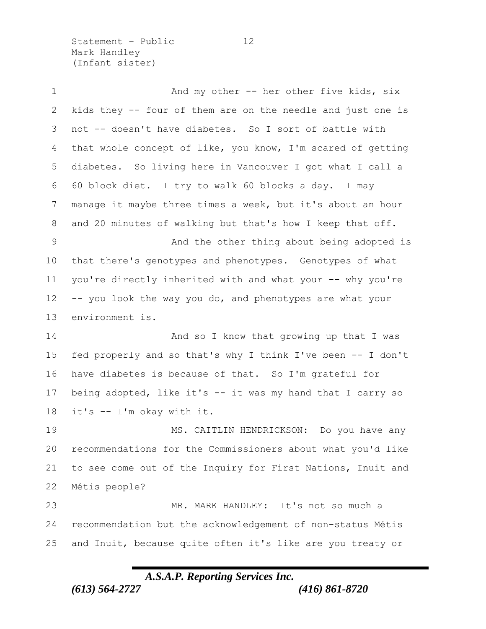Statement - Public 12 Mark Handley (Infant sister)

1 And my other -- her other five kids, six kids they -- four of them are on the needle and just one is not -- doesn't have diabetes. So I sort of battle with that whole concept of like, you know, I'm scared of getting diabetes. So living here in Vancouver I got what I call a 60 block diet. I try to walk 60 blocks a day. I may manage it maybe three times a week, but it's about an hour and 20 minutes of walking but that's how I keep that off. 9 And the other thing about being adopted is that there's genotypes and phenotypes. Genotypes of what you're directly inherited with and what your -- why you're -- you look the way you do, and phenotypes are what your environment is. 14 And so I know that growing up that I was fed properly and so that's why I think I've been -- I don't have diabetes is because of that. So I'm grateful for being adopted, like it's -- it was my hand that I carry so it's -- I'm okay with it. MS. CAITLIN HENDRICKSON: Do you have any recommendations for the Commissioners about what you'd like to see come out of the Inquiry for First Nations, Inuit and Métis people? MR. MARK HANDLEY: It's not so much a recommendation but the acknowledgement of non-status Métis and Inuit, because quite often it's like are you treaty or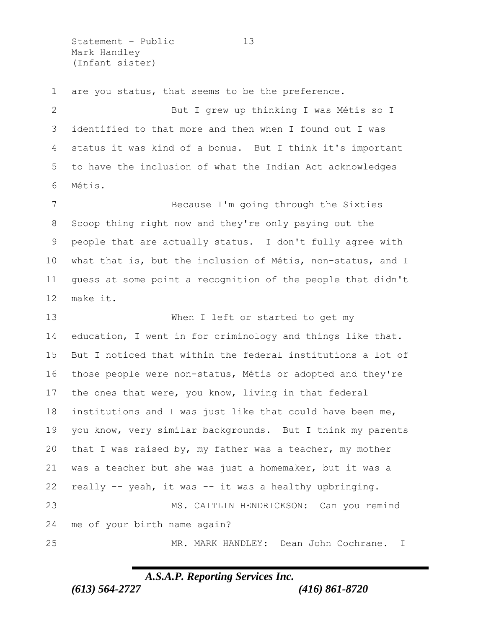Statement – Public 13 Mark Handley (Infant sister)

are you status, that seems to be the preference.

 But I grew up thinking I was Métis so I identified to that more and then when I found out I was status it was kind of a bonus. But I think it's important to have the inclusion of what the Indian Act acknowledges Métis.

 Because I'm going through the Sixties Scoop thing right now and they're only paying out the people that are actually status. I don't fully agree with what that is, but the inclusion of Métis, non-status, and I guess at some point a recognition of the people that didn't make it.

 When I left or started to get my education, I went in for criminology and things like that. But I noticed that within the federal institutions a lot of those people were non-status, Métis or adopted and they're the ones that were, you know, living in that federal institutions and I was just like that could have been me, you know, very similar backgrounds. But I think my parents that I was raised by, my father was a teacher, my mother was a teacher but she was just a homemaker, but it was a really -- yeah, it was -- it was a healthy upbringing. MS. CAITLIN HENDRICKSON: Can you remind me of your birth name again? MR. MARK HANDLEY: Dean John Cochrane. I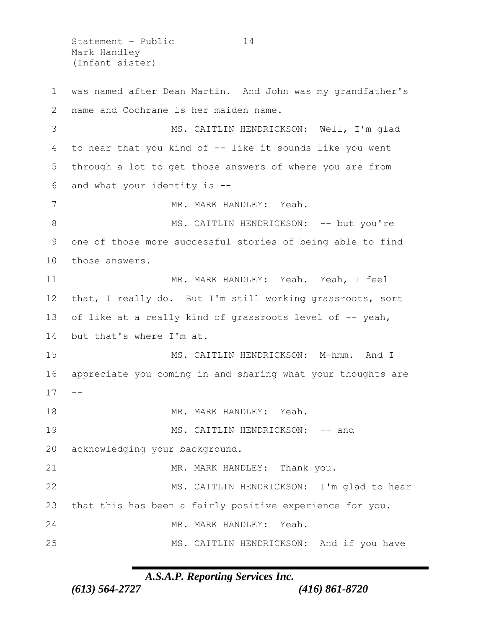Statement – Public 14 Mark Handley (Infant sister)

 was named after Dean Martin. And John was my grandfather's name and Cochrane is her maiden name. MS. CAITLIN HENDRICKSON: Well, I'm glad to hear that you kind of -- like it sounds like you went through a lot to get those answers of where you are from and what your identity is -- 7 MR. MARK HANDLEY: Yeah. 8 MS. CAITLIN HENDRICKSON: -- but you're one of those more successful stories of being able to find those answers. MR. MARK HANDLEY: Yeah. Yeah, I feel that, I really do. But I'm still working grassroots, sort 13 of like at a really kind of grassroots level of -- yeah, but that's where I'm at. 15 MS. CAITLIN HENDRICKSON: M-hmm. And I appreciate you coming in and sharing what your thoughts are  $17 - -$ 18 MR. MARK HANDLEY: Yeah. 19 MS. CAITLIN HENDRICKSON: -- and acknowledging your background. 21 MR. MARK HANDLEY: Thank you. 22 MS. CAITLIN HENDRICKSON: I'm glad to hear that this has been a fairly positive experience for you. MR. MARK HANDLEY: Yeah. MS. CAITLIN HENDRICKSON: And if you have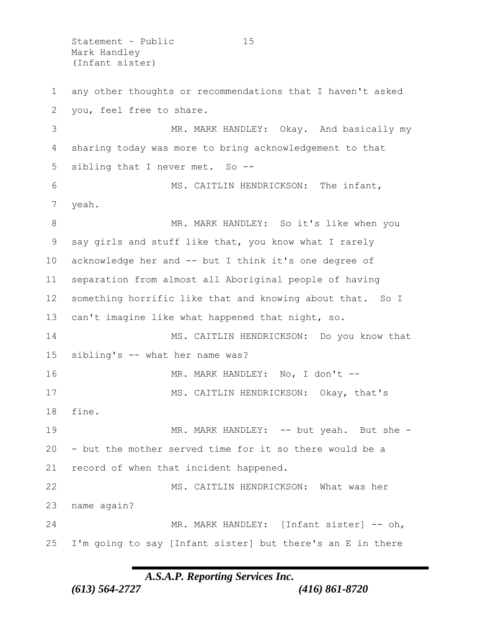Statement - Public 15 Mark Handley (Infant sister)

 any other thoughts or recommendations that I haven't asked you, feel free to share. MR. MARK HANDLEY: Okay. And basically my sharing today was more to bring acknowledgement to that sibling that I never met. So -- 6 MS. CAITLIN HENDRICKSON: The infant, yeah. 8 MR. MARK HANDLEY: So it's like when you say girls and stuff like that, you know what I rarely acknowledge her and -- but I think it's one degree of separation from almost all Aboriginal people of having something horrific like that and knowing about that. So I can't imagine like what happened that night, so. 14 MS. CAITLIN HENDRICKSON: Do you know that sibling's -- what her name was? MR. MARK HANDLEY: No, I don't -- 17 MS. CAITLIN HENDRICKSON: Okay, that's fine. 19 MR. MARK HANDLEY: -- but yeah. But she - - but the mother served time for it so there would be a record of when that incident happened. MS. CAITLIN HENDRICKSON: What was her name again? 24 MR. MARK HANDLEY: [Infant sister] -- oh, I'm going to say [Infant sister] but there's an E in there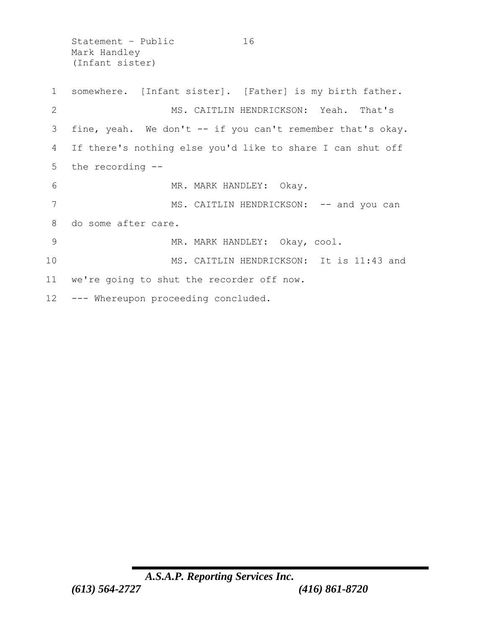Statement - Public 16 Mark Handley (Infant sister)

 somewhere. [Infant sister]. [Father] is my birth father. MS. CAITLIN HENDRICKSON: Yeah. That's fine, yeah. We don't -- if you can't remember that's okay. If there's nothing else you'd like to share I can shut off the recording -- 6 MR. MARK HANDLEY: Okay. 7 MS. CAITLIN HENDRICKSON: -- and you can do some after care. 9 MR. MARK HANDLEY: Okay, cool. 10 MS. CAITLIN HENDRICKSON: It is 11:43 and we're going to shut the recorder off now. --- Whereupon proceeding concluded.